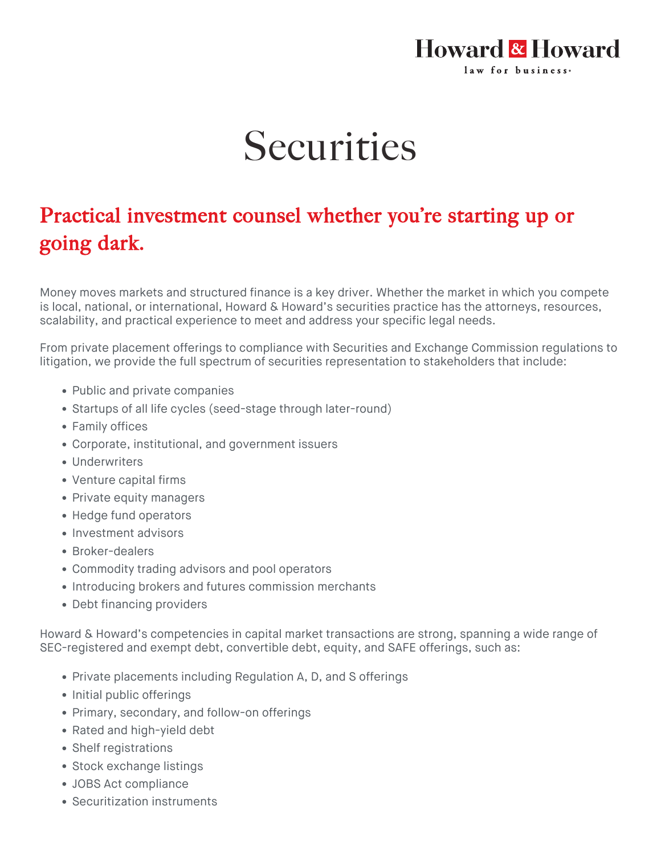## **Howard & Howard** law for business.

## **Securities**

## Practical investment counsel whether you're starting up or going dark.

Money moves markets and structured finance is a key driver. Whether the market in which you compete is local, national, or international, Howard & Howard's securities practice has the attorneys, resources, scalability, and practical experience to meet and address your specific legal needs.

From private placement offerings to compliance with Securities and Exchange Commission regulations to litigation, we provide the full spectrum of securities representation to stakeholders that include:

- Public and private companies
- Startups of all life cycles (seed-stage through later-round)
- Family offices
- Corporate, institutional, and government issuers
- Underwriters
- Venture capital firms
- Private equity managers
- Hedge fund operators
- Investment advisors
- Broker-dealers
- Commodity trading advisors and pool operators
- Introducing brokers and futures commission merchants
- Debt financing providers

Howard & Howard's competencies in capital market transactions are strong, spanning a wide range of SEC-registered and exempt debt, convertible debt, equity, and SAFE offerings, such as:

- Private placements including Regulation A, D, and S offerings
- Initial public offerings
- Primary, secondary, and follow-on offerings
- Rated and high-yield debt
- Shelf registrations
- Stock exchange listings
- JOBS Act compliance
- Securitization instruments